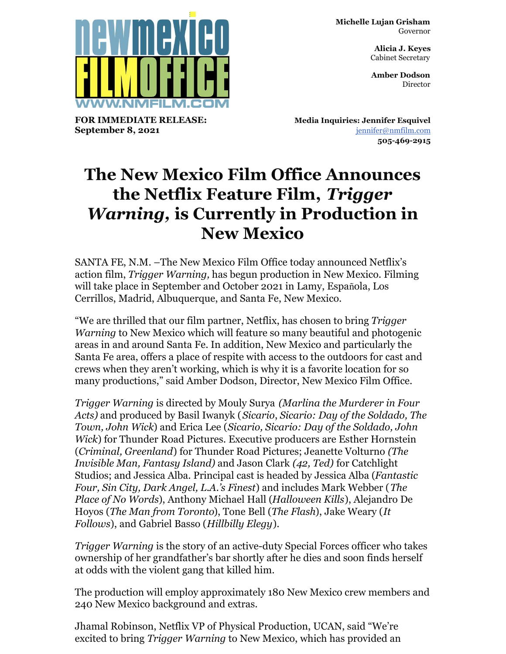**Michelle Lujan Grisham** Governor

> **Alicia J. Keyes** Cabinet Secretary

> **Amber Dodson Director**



**FOR IMMEDIATE RELEASE: September 8, 2021**

**Media Inquiries: Jennifer Esquivel** [jennifer@nmfilm.com](mailto:jennifer@nmfilm.com) **505-469-2915**

## **The New Mexico Film Office Announces the Netflix Feature Film,** *Trigger Warning,* **is Currently in Production in New Mexico**

SANTA FE, N.M. –The New Mexico Film Office today announced Netflix's action film, *Trigger Warning,* has begun production in New Mexico. Filming will take place in September and October 2021 in Lamy, Española, Los Cerrillos, Madrid, Albuquerque, and Santa Fe, New Mexico.

"We are thrilled that our film partner, Netflix, has chosen to bring *Trigger Warning* to New Mexico which will feature so many beautiful and photogenic areas in and around Santa Fe. In addition, New Mexico and particularly the Santa Fe area, offers a place of respite with access to the outdoors for cast and crews when they aren't working, which is why it is a favorite location for so many productions," said Amber Dodson, Director, New Mexico Film Office.

*Trigger Warning* is directed by Mouly Surya *(Marlina the Murderer in Four Acts)* and produced by Basil Iwanyk (*Sicario*, *Sicario: Day of the Soldado, The Town, John Wick*) and Erica Lee (*Sicario, Sicario: Day of the Soldado, John Wick*) for Thunder Road Pictures. Executive producers are Esther Hornstein (*Criminal, Greenland*) for Thunder Road Pictures; Jeanette Volturno *(The Invisible Man, Fantasy Island)* and Jason Clark *(42, Ted)* for Catchlight Studios; and Jessica Alba. Principal cast is headed by Jessica Alba (*Fantastic Four, Sin City, Dark Angel, L.A.'s Finest*) and includes Mark Webber (*The Place of No Words*), Anthony Michael Hall (*Halloween Kills*), Alejandro De Hoyos (*The Man from Toronto*), Tone Bell (*The Flash*), Jake Weary (*It Follows*), and Gabriel Basso (*Hillbilly Elegy*).

*Trigger Warning* is the story of an active-duty Special Forces officer who takes ownership of her grandfather's bar shortly after he dies and soon finds herself at odds with the violent gang that killed him.

The production will employ approximately 180 New Mexico crew members and 240 New Mexico background and extras.

Jhamal Robinson, Netflix VP of Physical Production, UCAN, said "We're excited to bring *Trigger Warning* to New Mexico, which has provided an